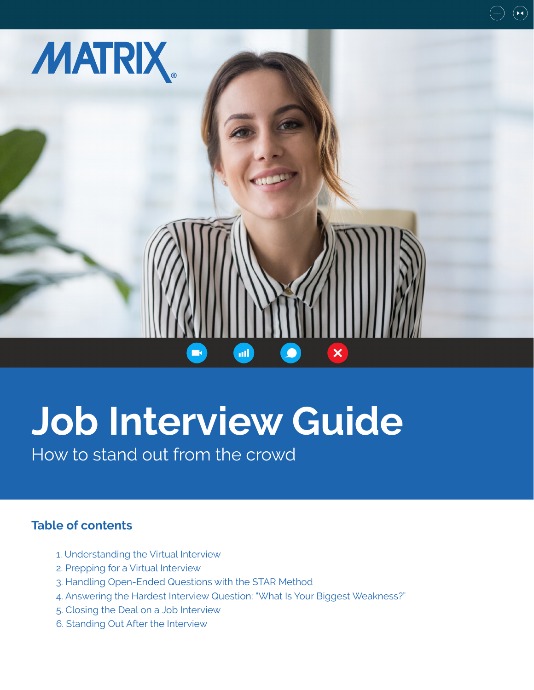

# **Job Interview Guide**

How to stand out from the crowd

# **Table of contents**

- 1. Understanding the Virtual Interview
- 2. Prepping for a Virtual Interview
- 3. Handling Open-Ended Questions with the STAR Method
- 4. Answering the Hardest Interview Question: "What Is Your Biggest Weakness?"
- 5. Closing the Deal on a Job Interview
- 6. Standing Out After the Interview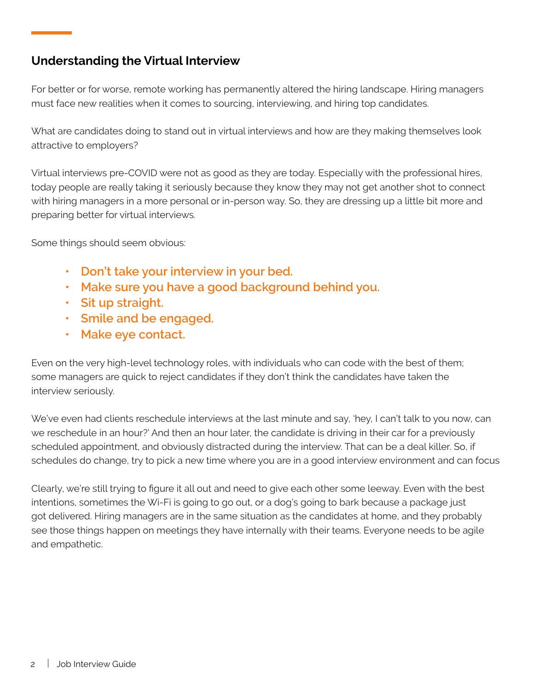# **Understanding the Virtual Interview**

For better or for worse, remote working has permanently altered the hiring landscape. Hiring managers must face new realities when it comes to sourcing, interviewing, and hiring top candidates.

What are candidates doing to stand out in virtual interviews and how are they making themselves look attractive to employers?

Virtual interviews pre-COVID were not as good as they are today. Especially with the professional hires, today people are really taking it seriously because they know they may not get another shot to connect with hiring managers in a more personal or in-person way. So, they are dressing up a little bit more and preparing better for virtual interviews.

Some things should seem obvious:

- **• Don't take your interview in your bed.**
- **• Make sure you have a good background behind you.**
- **• Sit up straight.**
- **• Smile and be engaged.**
- **• Make eye contact.**

Even on the very high-level technology roles, with individuals who can code with the best of them; some managers are quick to reject candidates if they don't think the candidates have taken the interview seriously.

We've even had clients reschedule interviews at the last minute and say, 'hey, I can't talk to you now, can we reschedule in an hour?' And then an hour later, the candidate is driving in their car for a previously scheduled appointment, and obviously distracted during the interview. That can be a deal killer. So, if schedules do change, try to pick a new time where you are in a good interview environment and can focus

Clearly, we're still trying to figure it all out and need to give each other some leeway. Even with the best intentions, sometimes the Wi-Fi is going to go out, or a dog's going to bark because a package just got delivered. Hiring managers are in the same situation as the candidates at home, and they probably see those things happen on meetings they have internally with their teams. Everyone needs to be agile and empathetic.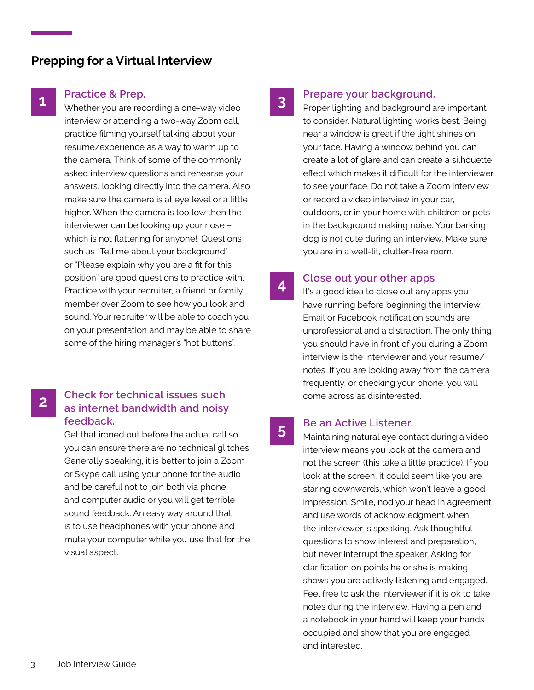# **Prepping for a Virtual Interview**

# **1**

#### **Practice & Prep.**

Whether you are recording a one-way video interview or attending a two-way Zoom call, practice filming yourself talking about your resume/experience as a way to warm up to the camera. Think of some of the commonly asked interview questions and rehearse your answers, looking directly into the camera. Also make sure the camera is at eye level or a little higher. When the camera is too low then the interviewer can be looking up your nose – which is not flattering for anyone!. Questions such as "Tell me about your background" or "Please explain why you are a fit for this position" are good questions to practice with. Practice with your recruiter, a friend or family member over Zoom to see how you look and sound. Your recruiter will be able to coach you on your presentation and may be able to share some of the hiring manager's "hot buttons".

## **2 Check for technical issues such as internet bandwidth and noisy feedback.**

Get that ironed out before the actual call so you can ensure there are no technical glitches. Generally speaking, it is better to join a Zoom or Skype call using your phone for the audio and be careful not to join both via phone and computer audio or you will get terrible sound feedback. An easy way around that is to use headphones with your phone and mute your computer while you use that for the visual aspect.

# **3**

#### **Prepare your background.**

Proper lighting and background are important to consider. Natural lighting works best. Being near a window is great if the light shines on your face. Having a window behind you can create a lot of glare and can create a silhouette effect which makes it difficult for the interviewer to see your face. Do not take a Zoom interview or record a video interview in your car, outdoors, or in your home with children or pets in the background making noise. Your barking dog is not cute during an interview. Make sure you are in a well-lit, clutter-free room.

#### **Close out your other apps 4**

It's a good idea to close out any apps you have running before beginning the interview. Email or Facebook notification sounds are unprofessional and a distraction. The only thing you should have in front of you during a Zoom interview is the interviewer and your resume/ notes. If you are looking away from the camera frequently, or checking your phone, you will come across as disinterested.

# **5 Be an Active Listener.**<br> **5 Maintaining patural overcept**

Maintaining natural eye contact during a video interview means you look at the camera and not the screen (this take a little practice). If you look at the screen, it could seem like you are staring downwards, which won't leave a good impression. Smile, nod your head in agreement and use words of acknowledgment when the interviewer is speaking. Ask thoughtful questions to show interest and preparation, but never interrupt the speaker. Asking for clarification on points he or she is making shows you are actively listening and engaged.. Feel free to ask the interviewer if it is ok to take notes during the interview. Having a pen and a notebook in your hand will keep your hands occupied and show that you are engaged and interested.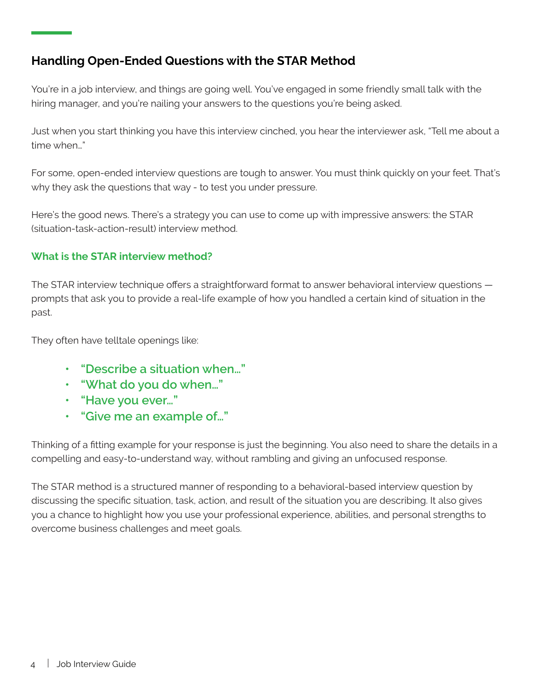# **Handling Open-Ended Questions with the STAR Method**

You're in a job interview, and things are going well. You've engaged in some friendly small talk with the hiring manager, and you're nailing your answers to the questions you're being asked.

Just when you start thinking you have this interview cinched, you hear the interviewer ask, "Tell me about a time when…"

For some, open-ended interview questions are tough to answer. You must think quickly on your feet. That's why they ask the questions that way - to test you under pressure.

Here's the good news. There's a strategy you can use to come up with impressive answers: the STAR (situation-task-action-result) interview method.

# **What is the STAR interview method?**

The STAR interview technique offers a straightforward format to answer behavioral interview questions prompts that ask you to provide a real-life example of how you handled a certain kind of situation in the past.

They often have telltale openings like:

- **• "Describe a situation when…"**
- **• "What do you do when…"**
- **• "Have you ever…"**
- **• "Give me an example of…"**

Thinking of a fitting example for your response is just the beginning. You also need to share the details in a compelling and easy-to-understand way, without rambling and giving an unfocused response.

The STAR method is a structured manner of responding to a behavioral-based interview question by discussing the specific situation, task, action, and result of the situation you are describing. It also gives you a chance to highlight how you use your professional experience, abilities, and personal strengths to overcome business challenges and meet goals.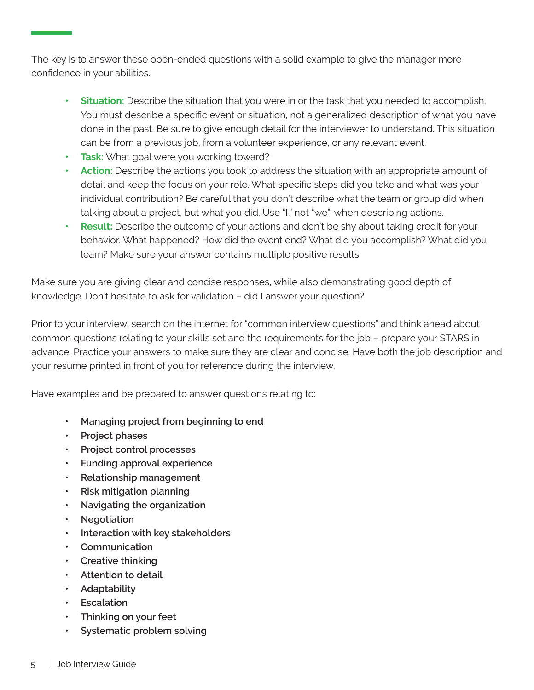The key is to answer these open-ended questions with a solid example to give the manager more confidence in your abilities.

- **• Situation:** Describe the situation that you were in or the task that you needed to accomplish. You must describe a specific event or situation, not a generalized description of what you have done in the past. Be sure to give enough detail for the interviewer to understand. This situation can be from a previous job, from a volunteer experience, or any relevant event.
- **• Task:** What goal were you working toward?
- **• Action:** Describe the actions you took to address the situation with an appropriate amount of detail and keep the focus on your role. What specific steps did you take and what was your individual contribution? Be careful that you don't describe what the team or group did when talking about a project, but what you did. Use "I," not "we", when describing actions.
- **• Result:** Describe the outcome of your actions and don't be shy about taking credit for your behavior. What happened? How did the event end? What did you accomplish? What did you learn? Make sure your answer contains multiple positive results.

Make sure you are giving clear and concise responses, while also demonstrating good depth of knowledge. Don't hesitate to ask for validation – did I answer your question?

Prior to your interview, search on the internet for "common interview questions" and think ahead about common questions relating to your skills set and the requirements for the job – prepare your STARS in advance. Practice your answers to make sure they are clear and concise. Have both the job description and your resume printed in front of you for reference during the interview.

Have examples and be prepared to answer questions relating to:

- **• Managing project from beginning to end**
- **• Project phases**
- **• Project control processes**
- **• Funding approval experience**
- **• Relationship management**
- **• Risk mitigation planning**
- **• Navigating the organization**
- **• Negotiation**
- **• Interaction with key stakeholders**
- **• Communication**
- **• Creative thinking**
- **• Attention to detail**
- **• Adaptability**
- **• Escalation**
- **• Thinking on your feet**
- **• Systematic problem solving**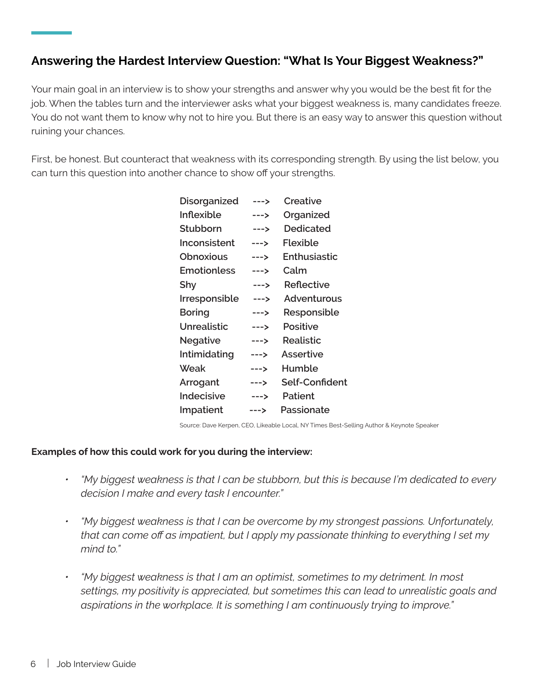# **Answering the Hardest Interview Question: "What Is Your Biggest Weakness?"**

Your main goal in an interview is to show your strengths and answer why you would be the best fit for the job. When the tables turn and the interviewer asks what your biggest weakness is, many candidates freeze. You do not want them to know why not to hire you. But there is an easy way to answer this question without ruining your chances.

First, be honest. But counteract that weakness with its corresponding strength. By using the list below, you can turn this question into another chance to show off your strengths.

| --->   | Creative       |
|--------|----------------|
| --->   | Organized      |
| --->   | Dedicated      |
| --->   | Flexible       |
| $--->$ | Enthusiastic   |
| --->   | Calm           |
| --->   | Reflective     |
| $--->$ | Adventurous    |
| --->   | Responsible    |
| $--->$ | Positive       |
| $--->$ | Realistic      |
| --->   | Assertive      |
| --->   | Humble         |
| $--->$ | Self-Confident |
| $--->$ | Patient        |
| --->   | Passionate     |
|        |                |

Source: Dave Kerpen, CEO, Likeable Local, NY Times Best-Selling Author & Keynote Speaker

#### **Examples of how this could work for you during the interview:**

- *• "My biggest weakness is that I can be stubborn, but this is because I'm dedicated to every decision I make and every task I encounter."*
- *• "My biggest weakness is that I can be overcome by my strongest passions. Unfortunately, that can come off as impatient, but I apply my passionate thinking to everything I set my mind to."*
- *• "My biggest weakness is that I am an optimist, sometimes to my detriment. In most settings, my positivity is appreciated, but sometimes this can lead to unrealistic goals and aspirations in the workplace. It is something I am continuously trying to improve."*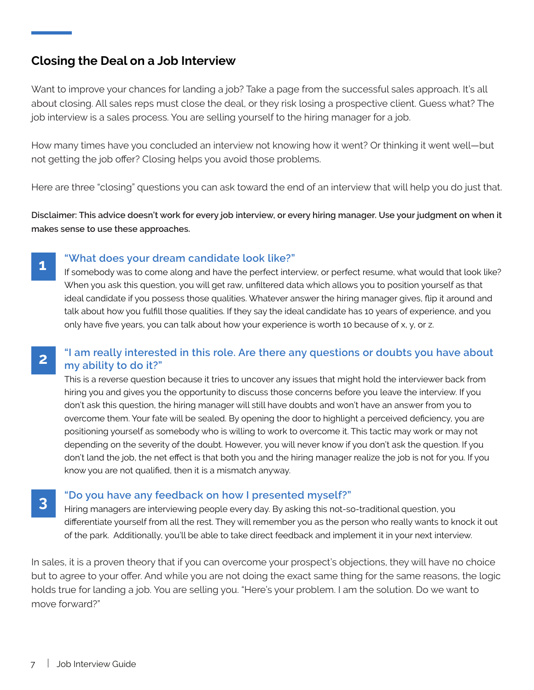# **Closing the Deal on a Job Interview**

Want to improve your chances for landing a job? Take a page from the successful sales approach. It's all about closing. All sales reps must close the deal, or they risk losing a prospective client. Guess what? The job interview is a sales process. You are selling yourself to the hiring manager for a job.

How many times have you concluded an interview not knowing how it went? Or thinking it went well—but not getting the job offer? Closing helps you avoid those problems.

Here are three "closing" questions you can ask toward the end of an interview that will help you do just that.

**Disclaimer: This advice doesn't work for every job interview, or every hiring manager. Use your judgment on when it makes sense to use these approaches.**

# **1**

**3**

### **"What does your dream candidate look like?"**

If somebody was to come along and have the perfect interview, or perfect resume, what would that look like? When you ask this question, you will get raw, unfiltered data which allows you to position yourself as that ideal candidate if you possess those qualities. Whatever answer the hiring manager gives, flip it around and talk about how you fulfill those qualities. If they say the ideal candidate has 10 years of experience, and you only have five years, you can talk about how your experience is worth 10 because of x, y, or z.

#### **"I am really interested in this role. Are there any questions or doubts you have about my ability to do it?" 2**

This is a reverse question because it tries to uncover any issues that might hold the interviewer back from hiring you and gives you the opportunity to discuss those concerns before you leave the interview. If you don't ask this question, the hiring manager will still have doubts and won't have an answer from you to overcome them. Your fate will be sealed. By opening the door to highlight a perceived deficiency, you are positioning yourself as somebody who is willing to work to overcome it. This tactic may work or may not depending on the severity of the doubt. However, you will never know if you don't ask the question. If you don't land the job, the net effect is that both you and the hiring manager realize the job is not for you. If you know you are not qualified, then it is a mismatch anyway.

### **"Do you have any feedback on how I presented myself?"**

Hiring managers are interviewing people every day. By asking this not-so-traditional question, you differentiate yourself from all the rest. They will remember you as the person who really wants to knock it out of the park. Additionally, you'll be able to take direct feedback and implement it in your next interview.

In sales, it is a proven theory that if you can overcome your prospect's objections, they will have no choice but to agree to your offer. And while you are not doing the exact same thing for the same reasons, the logic holds true for landing a job. You are selling you. "Here's your problem. I am the solution. Do we want to move forward?"